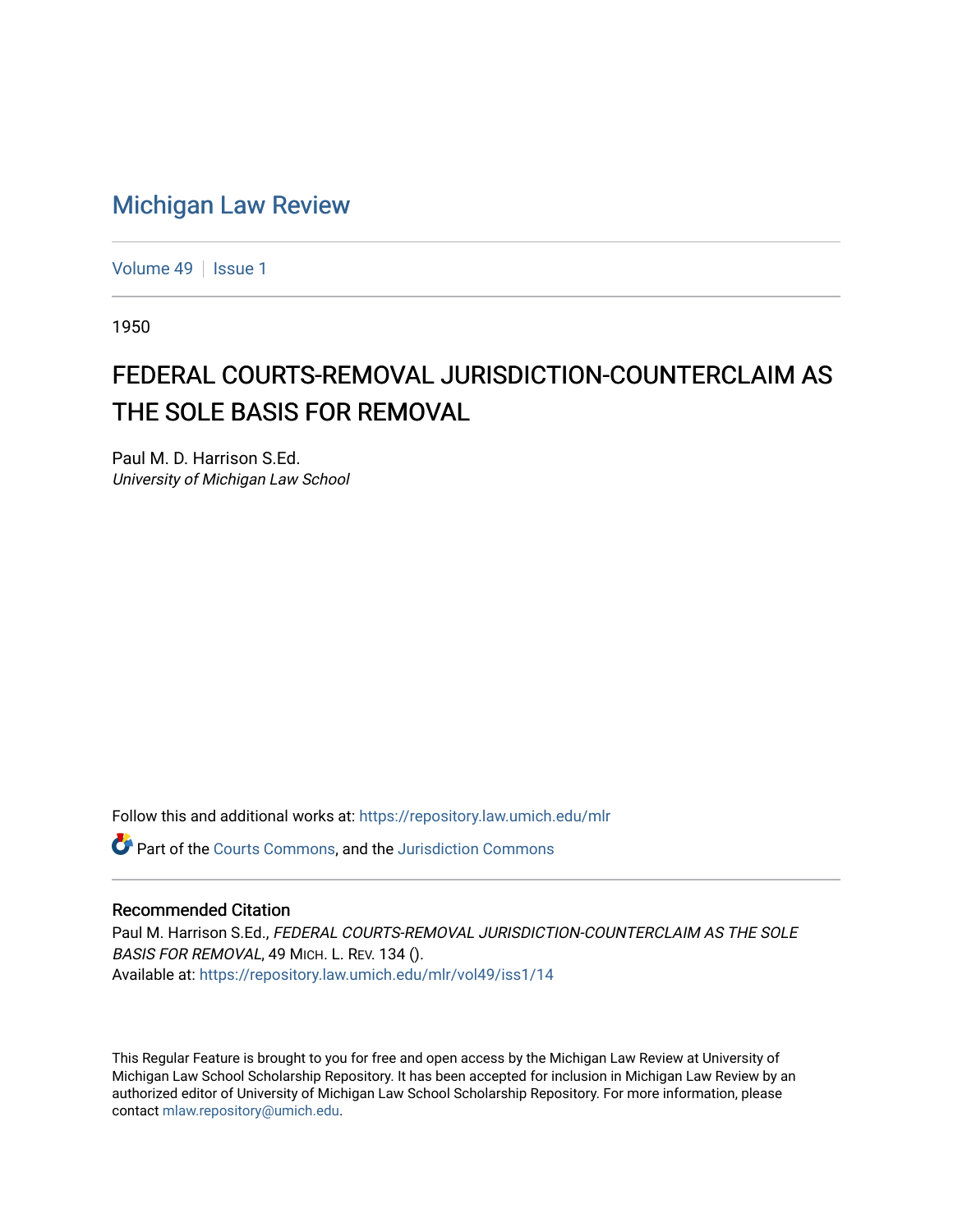## [Michigan Law Review](https://repository.law.umich.edu/mlr)

[Volume 49](https://repository.law.umich.edu/mlr/vol49) | [Issue 1](https://repository.law.umich.edu/mlr/vol49/iss1)

1950

## FEDERAL COURTS-REMOVAL JURISDICTION-COUNTERCLAIM AS THE SOLE BASIS FOR REMOVAL

Paul M. D. Harrison S.Ed. University of Michigan Law School

Follow this and additional works at: [https://repository.law.umich.edu/mlr](https://repository.law.umich.edu/mlr?utm_source=repository.law.umich.edu%2Fmlr%2Fvol49%2Fiss1%2F14&utm_medium=PDF&utm_campaign=PDFCoverPages) 

Part of the [Courts Commons,](http://network.bepress.com/hgg/discipline/839?utm_source=repository.law.umich.edu%2Fmlr%2Fvol49%2Fiss1%2F14&utm_medium=PDF&utm_campaign=PDFCoverPages) and the [Jurisdiction Commons](http://network.bepress.com/hgg/discipline/850?utm_source=repository.law.umich.edu%2Fmlr%2Fvol49%2Fiss1%2F14&utm_medium=PDF&utm_campaign=PDFCoverPages)

## Recommended Citation

Paul M. Harrison S.Ed., FEDERAL COURTS-REMOVAL JURISDICTION-COUNTERCLAIM AS THE SOLE BASIS FOR REMOVAL, 49 MICH. L. REV. 134 (). Available at: [https://repository.law.umich.edu/mlr/vol49/iss1/14](https://repository.law.umich.edu/mlr/vol49/iss1/14?utm_source=repository.law.umich.edu%2Fmlr%2Fvol49%2Fiss1%2F14&utm_medium=PDF&utm_campaign=PDFCoverPages) 

This Regular Feature is brought to you for free and open access by the Michigan Law Review at University of Michigan Law School Scholarship Repository. It has been accepted for inclusion in Michigan Law Review by an authorized editor of University of Michigan Law School Scholarship Repository. For more information, please contact [mlaw.repository@umich.edu](mailto:mlaw.repository@umich.edu).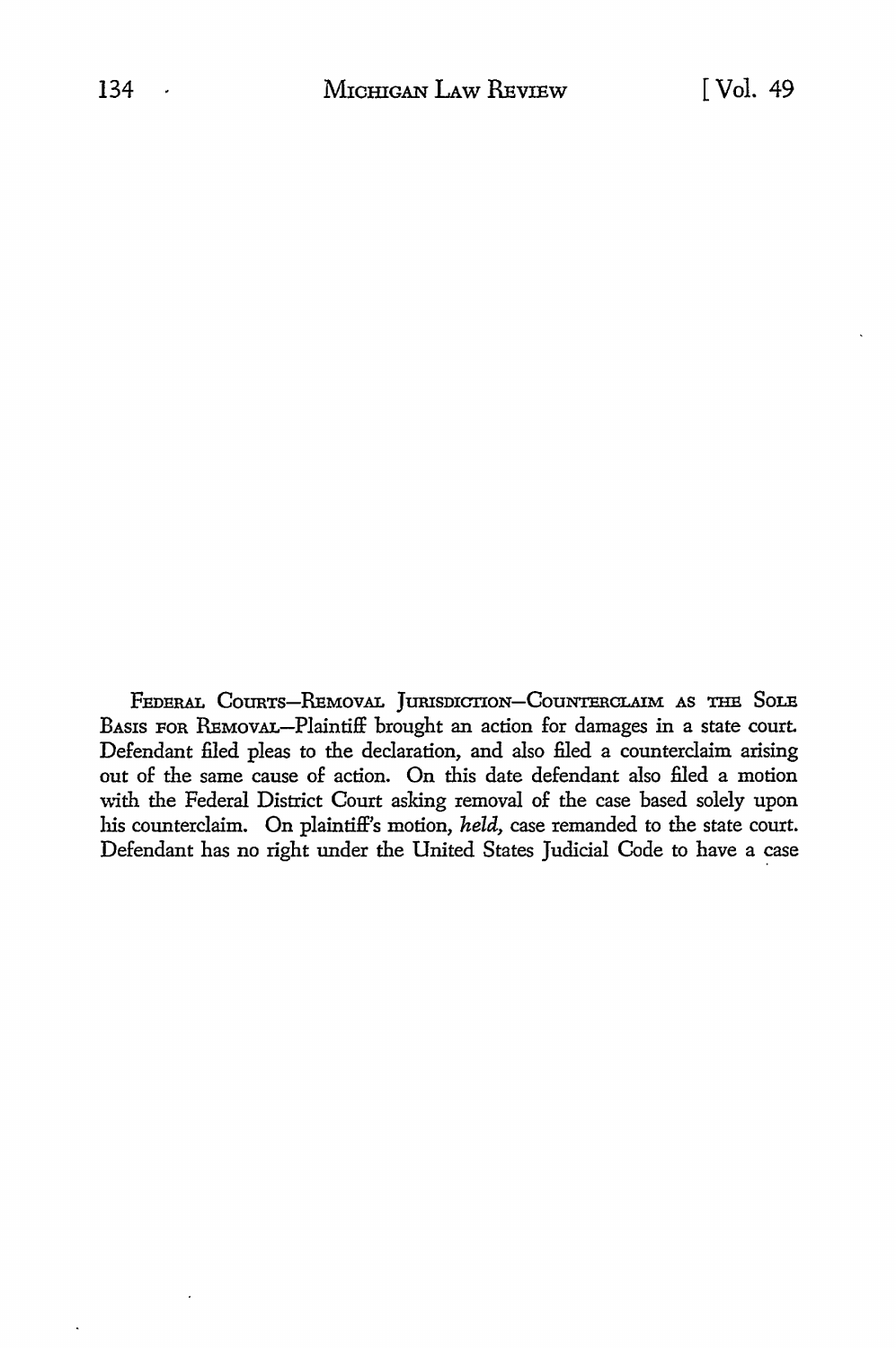FEDERAL COURTS-REMOVAL JURISDICTION-COUNTERCLAIM AS THE SOLE BAsrs FOR REMOVAL-Plaintiff brought an action for damages in a state court Defendant filed pleas to the declaration, and also filed a counterclaim arising out of the same cause of action. On this date defendant also filed a motion with the Federal District Court asking removal of the case based solely upon his counterclaim. On plaintiff's motion, *held,* case remanded to the state court. Defendant has no right under the United States Judicial Code to have a case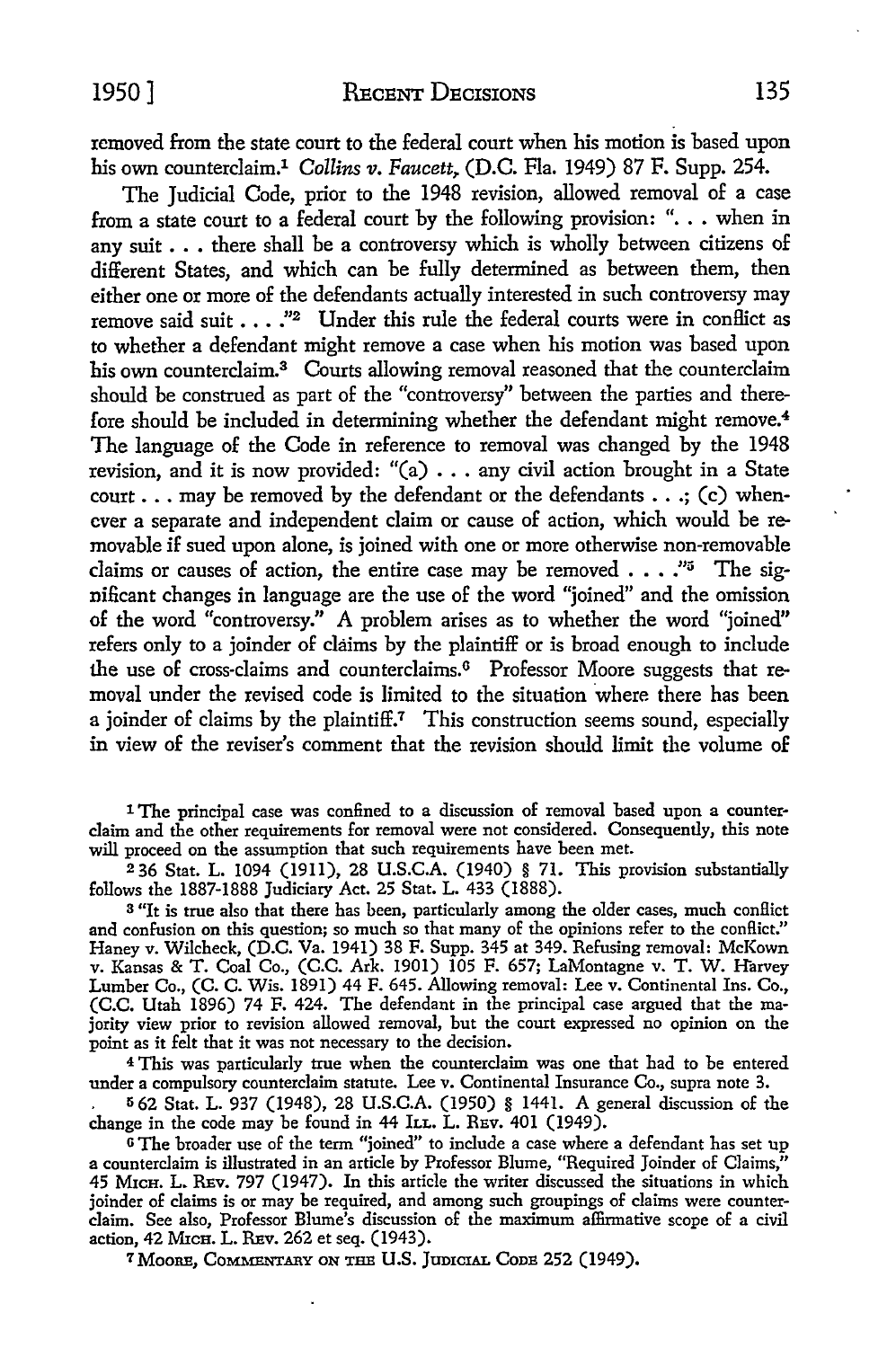removed from the state court to the federal court when his motion is based upon his own counterclaim.<sup>1</sup> Collins v. Faucett, (D.C. Fla. 1949) 87 F. Supp. 254.

The Judicial Code, prior to the 1948 revision, allowed removal of a case from a state court to a federal court by the following provision: " $\ldots$  when in any suit . . • there shall be a controversy which is wholly between citizens of different States, and which can be fully determined as between them, then either one or more of the defendants actually interested in such controversy may remove said suit  $\ldots$ ."<sup>2</sup> Under this rule the federal courts were in conflict as to whether a defendant might remove a case when his motion was based upon his own counterclaim.<sup>3</sup> Courts allowing removal reasoned that the counterclaim should be construed as part of the "controversy" between the parties and therefore should be included in determining whether the defendant might remove.<sup>4</sup> The language of the Code in reference to removal was changed by the 1948 revision, and it is now provided: "(a) ... any civil action brought in a State court  $\ldots$  may be removed by the defendant or the defendants  $\ldots$ ; (c) whenever a separate and independent claim or cause of action, which would be removable if sued upon alone, is joined with one or more otherwise non-removable claims or causes of action, the entire case may be removed  $\ldots$ ."<sup>5</sup> The significant changes in language are the use of the word "joined" and the omission of the word "controversy.'' A problem arises as to whether the word "joined" refers only to a joinder of claims by the plaintiff or is broad enough to include the use of cross-claims and counterclaims.<sup>6</sup> Professor Moore suggests that removal under the revised code is limited to the situation where there has been a joinder of claims by the plaintiff.<sup>7</sup> This construction seems sound, especially in view of the reviser's comment that the revision should limit the volume of

1 The principal case was confined to a discussion of removal based upon a counterclaim and the other requirements for removal were not considered. Consequently, this note will proceed on the assumption that such requirements have been met.

<sup>2</sup>36 Stat. L. 1094 (1911), 28 U.S.C.A. (1940) § 71. This provision substantially follows the 1887-1888 Judiciary Act. 25 Stat. L. 433 (1888).

<sup>3</sup> "It is true also that there has been, particularly among the older cases, much conflict and confusion on this question; so much so that many of the opinions refer to the conflict." Haney v. Wilcheck, (D.C. Va. 1941) 38 F. Supp. 345 at 349. Refusing removal: McKown v. Kansas & T. Coal Co., (C.C. Ark. 1901) 105 F. 657; LaMontagne v. T. W. Harvey Lumber Co., (C. C. Wis. 1891) 44 F. 645. Allowing removal: Lee v. Continental Ins. Co., (C.C. Utah 1896) 74 F. 424. The defendant in the principal case argued that the majority view prior to revision allowed removal, but the court expressed no opinion on the point as it felt that it was not necessary to the decision.

<sup>4</sup>This was particularly true when the counterclaim was one that had to be entered under a compulsory counterclaim statute. Lee v. Continental Insurance Co., supra note 3.

II 62 Stat. L. 937 (1948), 28 U.S.C.A. (1950) § 1441. A general discussion of the change in the code may be found in 44 ILL. L. REV. 401 (1949).

<sup>6</sup> The broader use of the term "joined" to include a case where a defendant has set up a counterclaim is illustrated in an article by Professor Blume, "Required Joinder of Claims," 45 MicH. L. REv. 797 (1947). In this article the writer discussed the situations in which joinder of claims is or may be required, and among such groupings of claims were counterclaim. See also, Professor Blume's discussion of the maximum affirmative scope of a civil action, 42 Mich. L. REv. 262 et seq. (1943).

<sup>7</sup> MOORE, COMMENTARY ON THE U.S. JUDICIAL CODE 252 (1949).